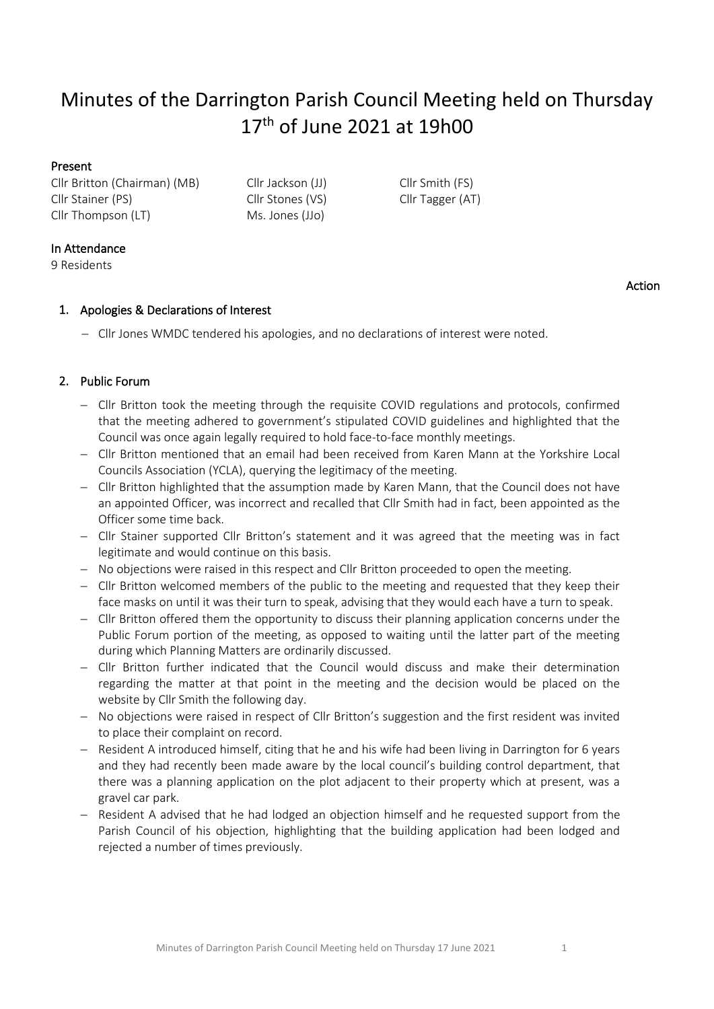# Minutes of the Darrington Parish Council Meeting held on Thursday 17<sup>th</sup> of June 2021 at 19h00

# Present

Cllr Britton (Chairman) (MB) Cllr Jackson (JJ) Cllr Smith (FS) Cllr Stainer (PS) Cllr Stones (VS) Cllr Tagger (AT) Cllr Thompson (LT) Ms. Jones (JJo)

# In Attendance

9 Residents

# Action

# 1. Apologies & Declarations of Interest

− Cllr Jones WMDC tendered his apologies, and no declarations of interest were noted.

# 2. Public Forum

- − Cllr Britton took the meeting through the requisite COVID regulations and protocols, confirmed that the meeting adhered to government's stipulated COVID guidelines and highlighted that the Council was once again legally required to hold face-to-face monthly meetings.
- − Cllr Britton mentioned that an email had been received from Karen Mann at the Yorkshire Local Councils Association (YCLA), querying the legitimacy of the meeting.
- − Cllr Britton highlighted that the assumption made by Karen Mann, that the Council does not have an appointed Officer, was incorrect and recalled that Cllr Smith had in fact, been appointed as the Officer some time back.
- − Cllr Stainer supported Cllr Britton's statement and it was agreed that the meeting was in fact legitimate and would continue on this basis.
- − No objections were raised in this respect and Cllr Britton proceeded to open the meeting.
- − Cllr Britton welcomed members of the public to the meeting and requested that they keep their face masks on until it was their turn to speak, advising that they would each have a turn to speak.
- − Cllr Britton offered them the opportunity to discuss their planning application concerns under the Public Forum portion of the meeting, as opposed to waiting until the latter part of the meeting during which Planning Matters are ordinarily discussed.
- − Cllr Britton further indicated that the Council would discuss and make their determination regarding the matter at that point in the meeting and the decision would be placed on the website by Cllr Smith the following day.
- − No objections were raised in respect of Cllr Britton's suggestion and the first resident was invited to place their complaint on record.
- − Resident A introduced himself, citing that he and his wife had been living in Darrington for 6 years and they had recently been made aware by the local council's building control department, that there was a planning application on the plot adjacent to their property which at present, was a gravel car park.
- − Resident A advised that he had lodged an objection himself and he requested support from the Parish Council of his objection, highlighting that the building application had been lodged and rejected a number of times previously.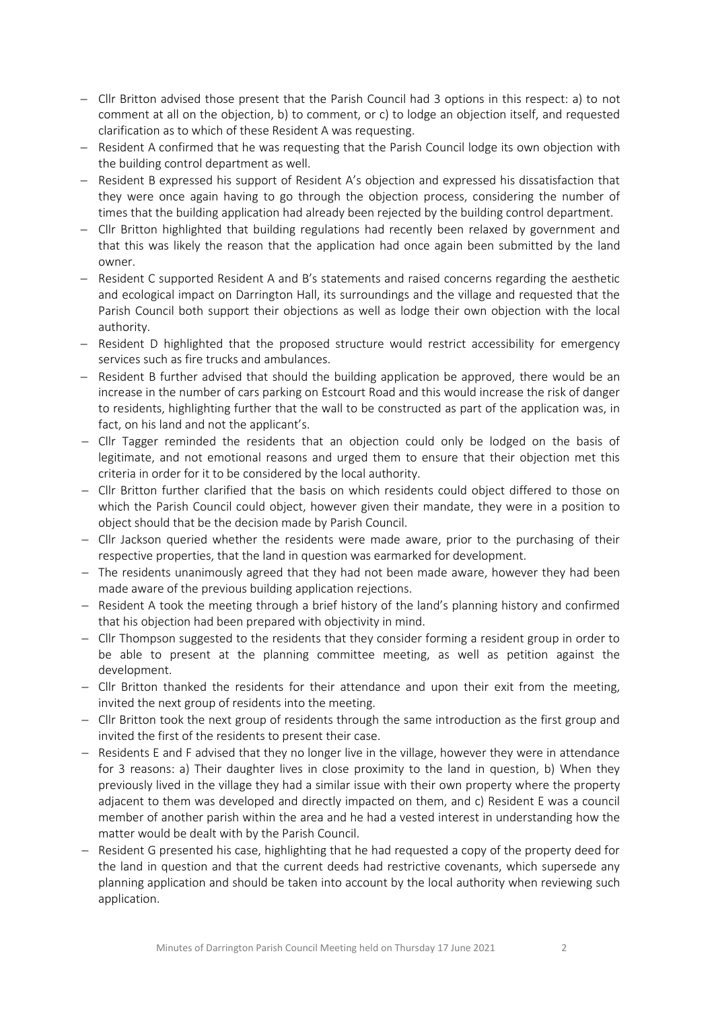- − Cllr Britton advised those present that the Parish Council had 3 options in this respect: a) to not comment at all on the objection, b) to comment, or c) to lodge an objection itself, and requested clarification as to which of these Resident A was requesting.
- Resident A confirmed that he was requesting that the Parish Council lodge its own objection with the building control department as well.
- − Resident B expressed his support of Resident A's objection and expressed his dissatisfaction that they were once again having to go through the objection process, considering the number of times that the building application had already been rejected by the building control department.
- − Cllr Britton highlighted that building regulations had recently been relaxed by government and that this was likely the reason that the application had once again been submitted by the land owner.
- − Resident C supported Resident A and B's statements and raised concerns regarding the aesthetic and ecological impact on Darrington Hall, its surroundings and the village and requested that the Parish Council both support their objections as well as lodge their own objection with the local authority.
- − Resident D highlighted that the proposed structure would restrict accessibility for emergency services such as fire trucks and ambulances.
- − Resident B further advised that should the building application be approved, there would be an increase in the number of cars parking on Estcourt Road and this would increase the risk of danger to residents, highlighting further that the wall to be constructed as part of the application was, in fact, on his land and not the applicant's.
- − Cllr Tagger reminded the residents that an objection could only be lodged on the basis of legitimate, and not emotional reasons and urged them to ensure that their objection met this criteria in order for it to be considered by the local authority.
- − Cllr Britton further clarified that the basis on which residents could object differed to those on which the Parish Council could object, however given their mandate, they were in a position to object should that be the decision made by Parish Council.
- − Cllr Jackson queried whether the residents were made aware, prior to the purchasing of their respective properties, that the land in question was earmarked for development.
- − The residents unanimously agreed that they had not been made aware, however they had been made aware of the previous building application rejections.
- − Resident A took the meeting through a brief history of the land's planning history and confirmed that his objection had been prepared with objectivity in mind.
- − Cllr Thompson suggested to the residents that they consider forming a resident group in order to be able to present at the planning committee meeting, as well as petition against the development.
- − Cllr Britton thanked the residents for their attendance and upon their exit from the meeting, invited the next group of residents into the meeting.
- − Cllr Britton took the next group of residents through the same introduction as the first group and invited the first of the residents to present their case.
- − Residents E and F advised that they no longer live in the village, however they were in attendance for 3 reasons: a) Their daughter lives in close proximity to the land in question, b) When they previously lived in the village they had a similar issue with their own property where the property adjacent to them was developed and directly impacted on them, and c) Resident E was a council member of another parish within the area and he had a vested interest in understanding how the matter would be dealt with by the Parish Council.
- − Resident G presented his case, highlighting that he had requested a copy of the property deed for the land in question and that the current deeds had restrictive covenants, which supersede any planning application and should be taken into account by the local authority when reviewing such application.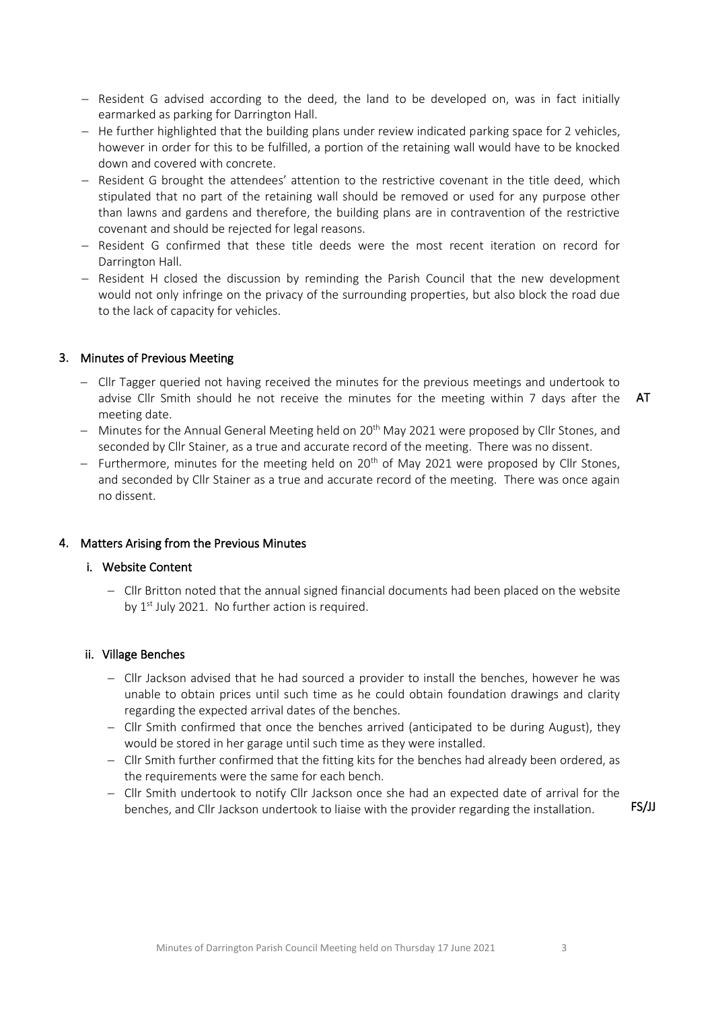- − Resident G advised according to the deed, the land to be developed on, was in fact initially earmarked as parking for Darrington Hall.
- − He further highlighted that the building plans under review indicated parking space for 2 vehicles, however in order for this to be fulfilled, a portion of the retaining wall would have to be knocked down and covered with concrete.
- − Resident G brought the attendees' attention to the restrictive covenant in the title deed, which stipulated that no part of the retaining wall should be removed or used for any purpose other than lawns and gardens and therefore, the building plans are in contravention of the restrictive covenant and should be rejected for legal reasons.
- − Resident G confirmed that these title deeds were the most recent iteration on record for Darrington Hall.
- − Resident H closed the discussion by reminding the Parish Council that the new development would not only infringe on the privacy of the surrounding properties, but also block the road due to the lack of capacity for vehicles.

# 3. Minutes of Previous Meeting

- − Cllr Tagger queried not having received the minutes for the previous meetings and undertook to advise Cllr Smith should he not receive the minutes for the meeting within 7 days after the meeting date.
	- AT
- − Minutes for the Annual General Meeting held on 20<sup>th</sup> May 2021 were proposed by Cllr Stones, and seconded by Cllr Stainer, as a true and accurate record of the meeting. There was no dissent.
- − Furthermore, minutes for the meeting held on 20<sup>th</sup> of May 2021 were proposed by Cllr Stones, and seconded by Cllr Stainer as a true and accurate record of the meeting. There was once again no dissent.

# 4. Matters Arising from the Previous Minutes

# i. Website Content

− Cllr Britton noted that the annual signed financial documents had been placed on the website by 1<sup>st</sup> July 2021. No further action is required.

# ii. Village Benches

- − Cllr Jackson advised that he had sourced a provider to install the benches, however he was unable to obtain prices until such time as he could obtain foundation drawings and clarity regarding the expected arrival dates of the benches.
- − Cllr Smith confirmed that once the benches arrived (anticipated to be during August), they would be stored in her garage until such time as they were installed.
- − Cllr Smith further confirmed that the fitting kits for the benches had already been ordered, as the requirements were the same for each bench.
- − Cllr Smith undertook to notify Cllr Jackson once she had an expected date of arrival for the benches, and Cllr Jackson undertook to liaise with the provider regarding the installation. FS/JJ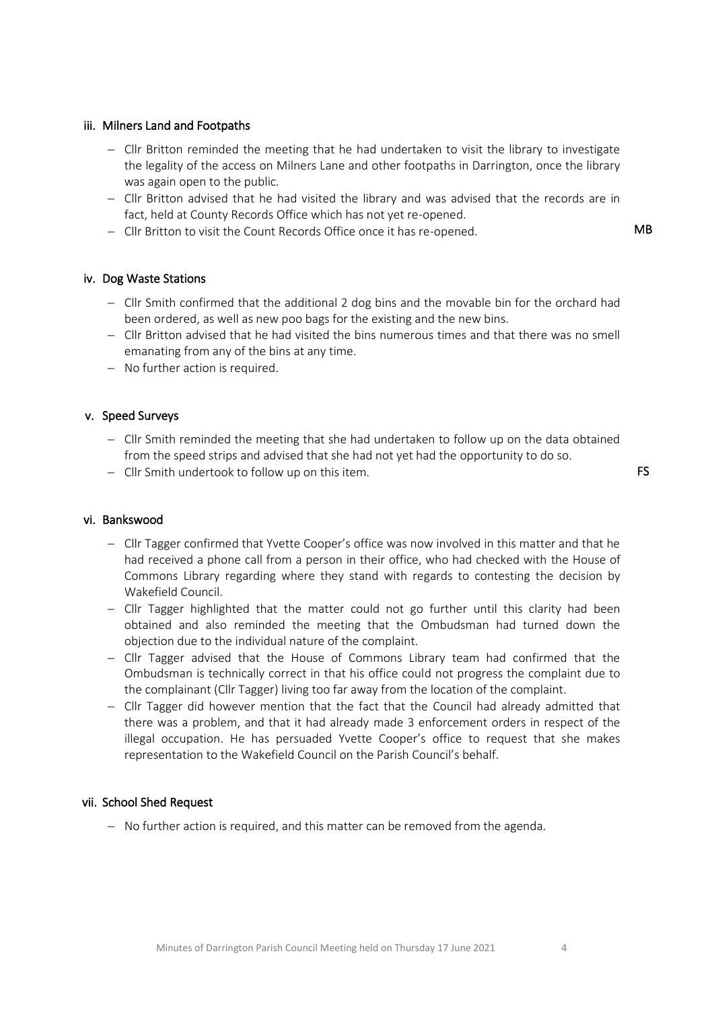# iii. Milners Land and Footpaths

- − Cllr Britton reminded the meeting that he had undertaken to visit the library to investigate the legality of the access on Milners Lane and other footpaths in Darrington, once the library was again open to the public.
- − Cllr Britton advised that he had visited the library and was advised that the records are in fact, held at County Records Office which has not yet re-opened.
- − Cllr Britton to visit the Count Records Office once it has re-opened. MB

#### iv. Dog Waste Stations

- − Cllr Smith confirmed that the additional 2 dog bins and the movable bin for the orchard had been ordered, as well as new poo bags for the existing and the new bins.
- − Cllr Britton advised that he had visited the bins numerous times and that there was no smell emanating from any of the bins at any time.
- − No further action is required.

# v. Speed Surveys

- − Cllr Smith reminded the meeting that she had undertaken to follow up on the data obtained from the speed strips and advised that she had not yet had the opportunity to do so.
- − Cllr Smith undertook to follow up on this item.

# vi. Bankswood

- − Cllr Tagger confirmed that Yvette Cooper's office was now involved in this matter and that he had received a phone call from a person in their office, who had checked with the House of Commons Library regarding where they stand with regards to contesting the decision by Wakefield Council.
- − Cllr Tagger highlighted that the matter could not go further until this clarity had been obtained and also reminded the meeting that the Ombudsman had turned down the objection due to the individual nature of the complaint.
- − Cllr Tagger advised that the House of Commons Library team had confirmed that the Ombudsman is technically correct in that his office could not progress the complaint due to the complainant (Cllr Tagger) living too far away from the location of the complaint.
- − Cllr Tagger did however mention that the fact that the Council had already admitted that there was a problem, and that it had already made 3 enforcement orders in respect of the illegal occupation. He has persuaded Yvette Cooper's office to request that she makes representation to the Wakefield Council on the Parish Council's behalf.

#### vii. School Shed Request

− No further action is required, and this matter can be removed from the agenda.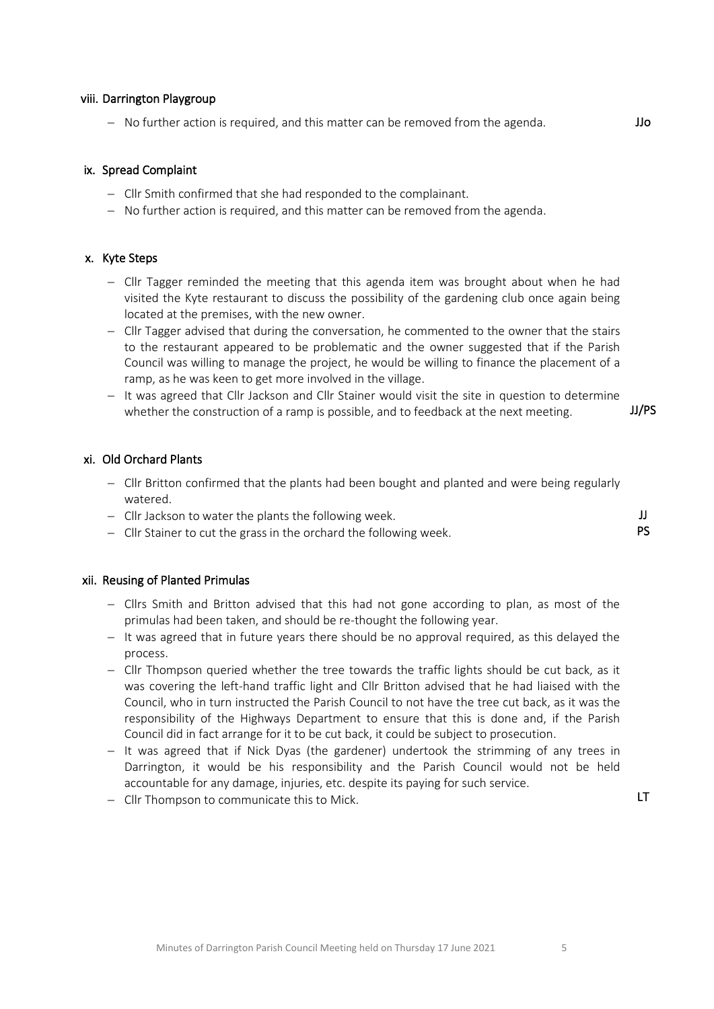- − It was agreed that if Nick Dyas (the gardener) undertook the strimming of any trees in accountable for any damage, injuries, etc. despite its paying for such service.
	-

# viii. Darrington Playgroup

− No further action is required, and this matter can be removed from the agenda. JJo

#### ix. Spread Complaint

- − Cllr Smith confirmed that she had responded to the complainant.
- − No further action is required, and this matter can be removed from the agenda.

#### x. Kyte Steps

- − Cllr Tagger reminded the meeting that this agenda item was brought about when he had visited the Kyte restaurant to discuss the possibility of the gardening club once again being located at the premises, with the new owner.
- − Cllr Tagger advised that during the conversation, he commented to the owner that the stairs to the restaurant appeared to be problematic and the owner suggested that if the Parish Council was willing to manage the project, he would be willing to finance the placement of a ramp, as he was keen to get more involved in the village.
- − It was agreed that Cllr Jackson and Cllr Stainer would visit the site in question to determine whether the construction of a ramp is possible, and to feedback at the next meeting.  $JJ/PS$

## xi. Old Orchard Plants

- − Cllr Britton confirmed that the plants had been bought and planted and were being regularly watered.
- − Cllr Jackson to water the plants the following week.
- − Cllr Stainer to cut the grass in the orchard the following week.

#### xii. Reusing of Planted Primulas

- − Cllrs Smith and Britton advised that this had not gone according to plan, as most of the primulas had been taken, and should be re-thought the following year.
- − It was agreed that in future years there should be no approval required, as this delayed the process.
- − Cllr Thompson queried whether the tree towards the traffic lights should be cut back, as it was covering the left-hand traffic light and Cllr Britton advised that he had liaised with the Council, who in turn instructed the Parish Council to not have the tree cut back, as it was the responsibility of the Highways Department to ensure that this is done and, if the Parish Council did in fact arrange for it to be cut back, it could be subject to prosecution.
- Darrington, it would be his responsibility and the Parish Council would not be held
- − Cllr Thompson to communicate this to Mick. LT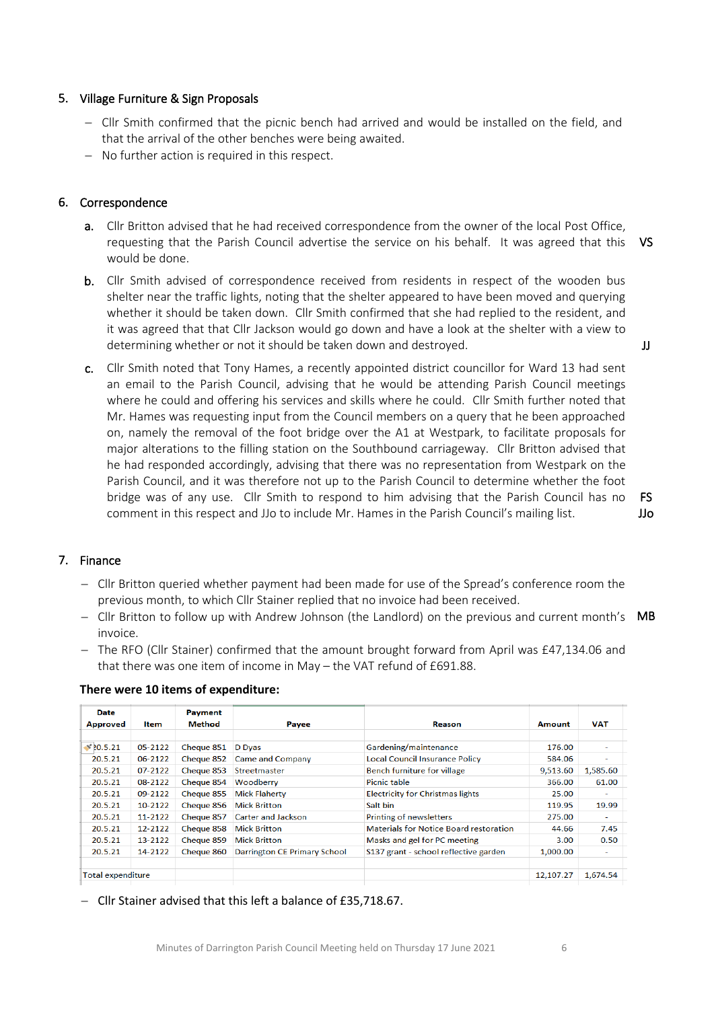# 5. Village Furniture & Sign Proposals

- − Cllr Smith confirmed that the picnic bench had arrived and would be installed on the field, and that the arrival of the other benches were being awaited.
- − No further action is required in this respect.

# 6. Correspondence

- a. Cllr Britton advised that he had received correspondence from the owner of the local Post Office, requesting that the Parish Council advertise the service on his behalf. It was agreed that this would be done. VS
- b. Cllr Smith advised of correspondence received from residents in respect of the wooden bus shelter near the traffic lights, noting that the shelter appeared to have been moved and querying whether it should be taken down. Cllr Smith confirmed that she had replied to the resident, and it was agreed that that Cllr Jackson would go down and have a look at the shelter with a view to determining whether or not it should be taken down and destroyed.
- c. Cllr Smith noted that Tony Hames, a recently appointed district councillor for Ward 13 had sent an email to the Parish Council, advising that he would be attending Parish Council meetings where he could and offering his services and skills where he could. Cllr Smith further noted that Mr. Hames was requesting input from the Council members on a query that he been approached on, namely the removal of the foot bridge over the A1 at Westpark, to facilitate proposals for major alterations to the filling station on the Southbound carriageway. Cllr Britton advised that he had responded accordingly, advising that there was no representation from Westpark on the Parish Council, and it was therefore not up to the Parish Council to determine whether the foot bridge was of any use. Cllr Smith to respond to him advising that the Parish Council has no comment in this respect and JJo to include Mr. Hames in the Parish Council's mailing list.

# 7. Finance

- − Cllr Britton queried whether payment had been made for use of the Spread's conference room the previous month, to which Cllr Stainer replied that no invoice had been received.
- − Cllr Britton to follow up with Andrew Johnson (the Landlord) on the previous and current month's MB invoice.
- − The RFO (Cllr Stainer) confirmed that the amount brought forward from April was £47,134.06 and that there was one item of income in May – the VAT refund of £691.88.

| Date                     |         | <b>Payment</b> |                                     |                                               |               |            |
|--------------------------|---------|----------------|-------------------------------------|-----------------------------------------------|---------------|------------|
| <b>Approved</b>          | ltem    | Method         | Payee                               | <b>Reason</b>                                 | <b>Amount</b> | <b>VAT</b> |
|                          |         |                |                                     |                                               |               |            |
| $\sqrt{20.5.21}$         | 05-2122 | Cheque 851     | D Dyas                              | Gardening/maintenance                         | 176.00        |            |
| 20.5.21                  | 06-2122 | Cheque 852     | <b>Came and Company</b>             | <b>Local Council Insurance Policy</b>         | 584.06        | н.         |
| 20.5.21                  | 07-2122 | Cheque 853     | Streetmaster                        | Bench furniture for village                   | 9,513.60      | 1,585.60   |
| 20.5.21                  | 08-2122 | Cheque 854     | Woodberry                           | Picnic table                                  | 366.00        | 61.00      |
| 20.5.21                  | 09-2122 | Cheque 855     | <b>Mick Flaherty</b>                | <b>Electricity for Christmas lights</b>       | 25.00         |            |
| 20.5.21                  | 10-2122 | Cheque 856     | <b>Mick Britton</b>                 | Salt bin                                      | 119.95        | 19.99      |
| 20.5.21                  | 11-2122 | Cheque 857     | Carter and Jackson                  | Printing of newsletters                       | 275.00        | ÷          |
| 20.5.21                  | 12-2122 | Cheque 858     | <b>Mick Britton</b>                 | <b>Materials for Notice Board restoration</b> | 44.66         | 7.45       |
| 20.5.21                  | 13-2122 | Cheque 859     | <b>Mick Britton</b>                 | Masks and gel for PC meeting                  | 3.00          | 0.50       |
| 20.5.21                  | 14-2122 | Cheque 860     | <b>Darrington CE Primary School</b> | S137 grant - school reflective garden         | 1,000.00      | ۰.         |
|                          |         |                |                                     |                                               |               |            |
| <b>Total expenditure</b> |         |                |                                     |                                               | 12.107.27     | 1,674.54   |
|                          |         |                |                                     |                                               |               |            |

#### **There were 10 items of expenditure:**

− Cllr Stainer advised that this left a balance of £35,718.67.

FS JJo

JJ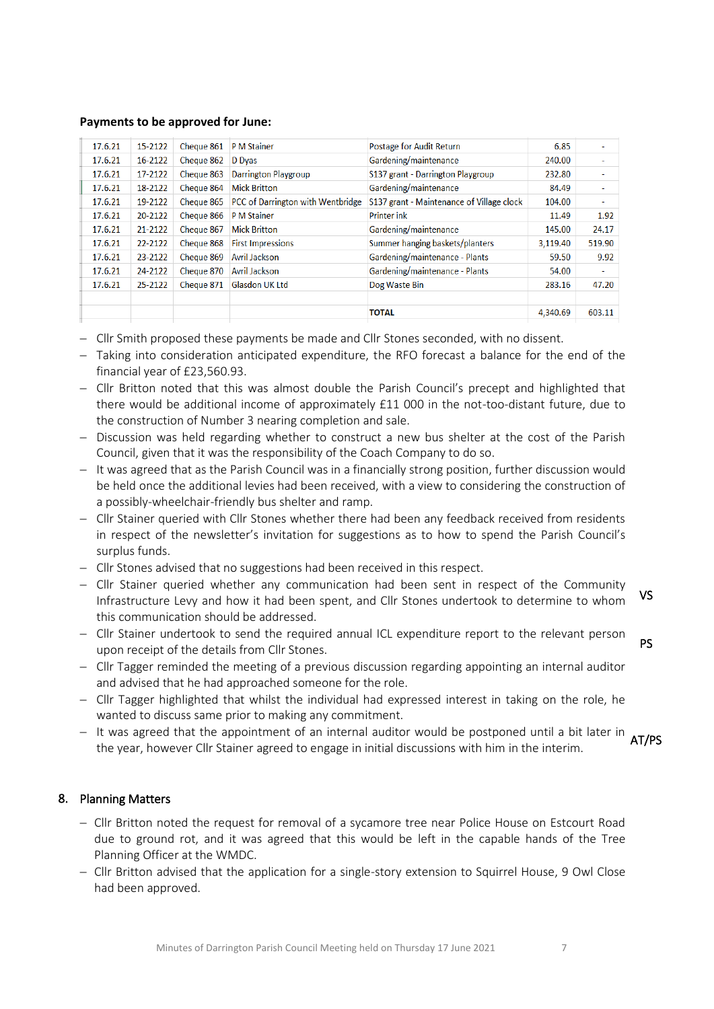#### **Payments to be approved for June:**

| 17.6.21 | 15-2122 | Cheque 861 | <b>P</b> M Stainer                | Postage for Audit Return                  | 6.85     | ٠      |
|---------|---------|------------|-----------------------------------|-------------------------------------------|----------|--------|
| 17.6.21 | 16-2122 | Cheque 862 | D Dyas                            | Gardening/maintenance                     | 240.00   | $\sim$ |
| 17.6.21 | 17-2122 | Cheque 863 | <b>Darrington Playgroup</b>       | S137 grant - Darrington Playgroup         | 232.80   | $\sim$ |
| 17.6.21 | 18-2122 | Cheque 864 | <b>Mick Britton</b>               | Gardening/maintenance                     | 84.49    | $\sim$ |
| 17.6.21 | 19-2122 | Cheque 865 | PCC of Darrington with Wentbridge | S137 grant - Maintenance of Village clock | 104.00   | ÷      |
| 17.6.21 | 20-2122 | Cheque 866 | <b>P</b> M Stainer                | <b>Printer ink</b>                        | 11.49    | 1.92   |
| 17.6.21 | 21-2122 | Cheque 867 | <b>Mick Britton</b>               | Gardening/maintenance                     | 145.00   | 24.17  |
| 17.6.21 | 22-2122 | Cheque 868 | <b>First Impressions</b>          | Summer hanging baskets/planters           | 3,119.40 | 519.90 |
| 17.6.21 | 23-2122 | Cheque 869 | <b>Avril Jackson</b>              | Gardening/maintenance - Plants            | 59.50    | 9.92   |
| 17.6.21 | 24-2122 | Cheque 870 | Avril Jackson                     | Gardening/maintenance - Plants            | 54.00    | ÷      |
| 17.6.21 | 25-2122 | Cheque 871 | <b>Glasdon UK Ltd</b>             | Dog Waste Bin                             | 283.16   | 47.20  |
|         |         |            |                                   |                                           |          |        |
|         |         |            |                                   | <b>TOTAL</b>                              | 4,340.69 | 603.11 |
|         |         |            |                                   |                                           |          |        |

- − Cllr Smith proposed these payments be made and Cllr Stones seconded, with no dissent.
- − Taking into consideration anticipated expenditure, the RFO forecast a balance for the end of the financial year of £23,560.93.
- − Cllr Britton noted that this was almost double the Parish Council's precept and highlighted that there would be additional income of approximately £11 000 in the not-too-distant future, due to the construction of Number 3 nearing completion and sale.
- − Discussion was held regarding whether to construct a new bus shelter at the cost of the Parish Council, given that it was the responsibility of the Coach Company to do so.
- − It was agreed that as the Parish Council was in a financially strong position, further discussion would be held once the additional levies had been received, with a view to considering the construction of a possibly-wheelchair-friendly bus shelter and ramp.
- − Cllr Stainer queried with Cllr Stones whether there had been any feedback received from residents in respect of the newsletter's invitation for suggestions as to how to spend the Parish Council's surplus funds.
- − Cllr Stones advised that no suggestions had been received in this respect.
- − Cllr Stainer queried whether any communication had been sent in respect of the Community Infrastructure Levy and how it had been spent, and Cllr Stones undertook to determine to whom this communication should be addressed. VS
- − Cllr Stainer undertook to send the required annual ICL expenditure report to the relevant person upon receipt of the details from Cllr Stones. PS
- − Cllr Tagger reminded the meeting of a previous discussion regarding appointing an internal auditor and advised that he had approached someone for the role.
- − Cllr Tagger highlighted that whilst the individual had expressed interest in taking on the role, he wanted to discuss same prior to making any commitment.
- − It was agreed that the appointment of an internal auditor would be postponed until a bit later in <sub>AT</sub> the year, however Cllr Stainer agreed to engage in initial discussions with him in the interim. AT/PS

# 8. Planning Matters

- − Cllr Britton noted the request for removal of a sycamore tree near Police House on Estcourt Road due to ground rot, and it was agreed that this would be left in the capable hands of the Tree Planning Officer at the WMDC.
- − Cllr Britton advised that the application for a single-story extension to Squirrel House, 9 Owl Close had been approved.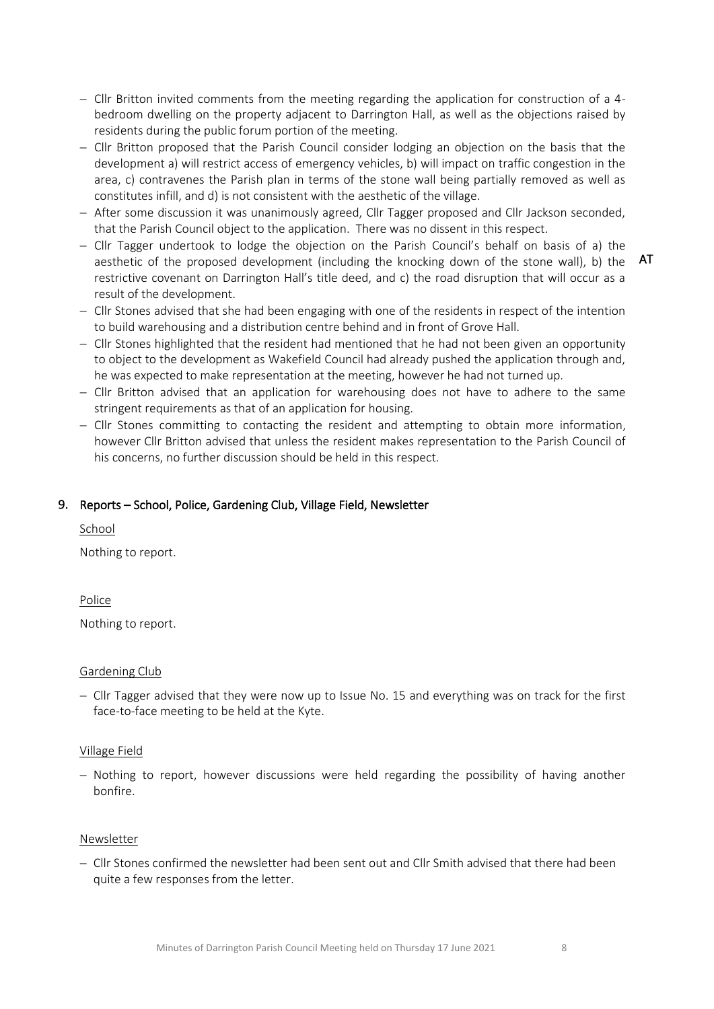- − Cllr Britton invited comments from the meeting regarding the application for construction of a 4 bedroom dwelling on the property adjacent to Darrington Hall, as well as the objections raised by residents during the public forum portion of the meeting.
- − Cllr Britton proposed that the Parish Council consider lodging an objection on the basis that the development a) will restrict access of emergency vehicles, b) will impact on traffic congestion in the area, c) contravenes the Parish plan in terms of the stone wall being partially removed as well as constitutes infill, and d) is not consistent with the aesthetic of the village.
- − After some discussion it was unanimously agreed, Cllr Tagger proposed and Cllr Jackson seconded, that the Parish Council object to the application. There was no dissent in this respect.
- − Cllr Tagger undertook to lodge the objection on the Parish Council's behalf on basis of a) the aesthetic of the proposed development (including the knocking down of the stone wall), b) the restrictive covenant on Darrington Hall's title deed, and c) the road disruption that will occur as a result of the development.
- − Cllr Stones advised that she had been engaging with one of the residents in respect of the intention to build warehousing and a distribution centre behind and in front of Grove Hall.
- − Cllr Stones highlighted that the resident had mentioned that he had not been given an opportunity to object to the development as Wakefield Council had already pushed the application through and, he was expected to make representation at the meeting, however he had not turned up.
- − Cllr Britton advised that an application for warehousing does not have to adhere to the same stringent requirements as that of an application for housing.
- − Cllr Stones committing to contacting the resident and attempting to obtain more information, however Cllr Britton advised that unless the resident makes representation to the Parish Council of his concerns, no further discussion should be held in this respect.

# 9. Reports – School, Police, Gardening Club, Village Field, Newsletter

School

Nothing to report.

Police

Nothing to report.

#### Gardening Club

− Cllr Tagger advised that they were now up to Issue No. 15 and everything was on track for the first face-to-face meeting to be held at the Kyte.

# Village Field

− Nothing to report, however discussions were held regarding the possibility of having another bonfire.

#### Newsletter

− Cllr Stones confirmed the newsletter had been sent out and Cllr Smith advised that there had been quite a few responses from the letter.

AT